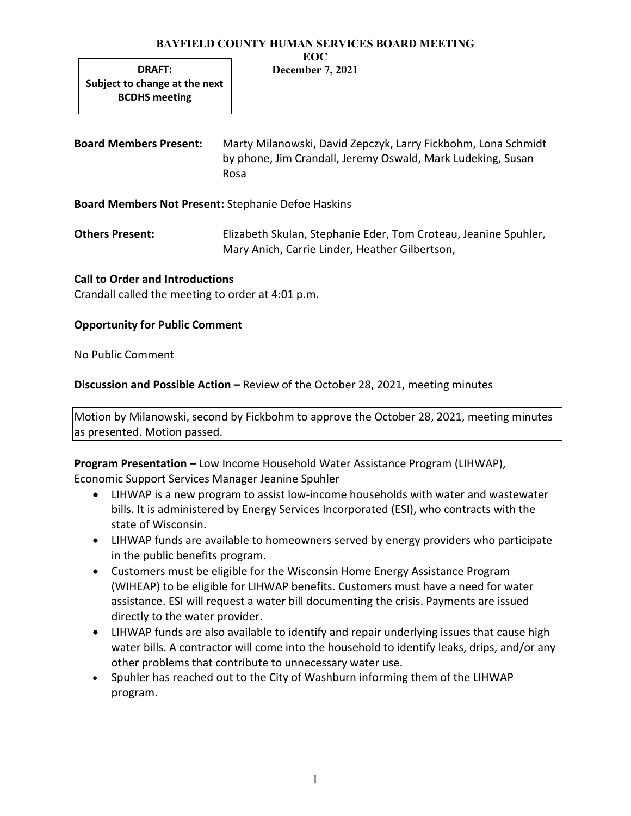#### BAYFIELD COUNTY HUMAN SERVICES BOARD MEETING EOC

DRAFT: Subject to change at the next BCDHS meeting

# December 7, 2021

Board Members Present: Marty Milanowski, David Zepczyk, Larry Fickbohm, Lona Schmidt by phone, Jim Crandall, Jeremy Oswald, Mark Ludeking, Susan Rosa

Board Members Not Present: Stephanie Defoe Haskins

Others Present: Elizabeth Skulan, Stephanie Eder, Tom Croteau, Jeanine Spuhler, Mary Anich, Carrie Linder, Heather Gilbertson,

# Call to Order and Introductions

Crandall called the meeting to order at 4:01 p.m.

# Opportunity for Public Comment

No Public Comment

Discussion and Possible Action – Review of the October 28, 2021, meeting minutes

Motion by Milanowski, second by Fickbohm to approve the October 28, 2021, meeting minutes as presented. Motion passed.

Program Presentation – Low Income Household Water Assistance Program (LIHWAP), Economic Support Services Manager Jeanine Spuhler

- LIHWAP is a new program to assist low-income households with water and wastewater bills. It is administered by Energy Services Incorporated (ESI), who contracts with the state of Wisconsin.
- LIHWAP funds are available to homeowners served by energy providers who participate in the public benefits program.
- Customers must be eligible for the Wisconsin Home Energy Assistance Program (WIHEAP) to be eligible for LIHWAP benefits. Customers must have a need for water assistance. ESI will request a water bill documenting the crisis. Payments are issued directly to the water provider.
- LIHWAP funds are also available to identify and repair underlying issues that cause high water bills. A contractor will come into the household to identify leaks, drips, and/or any other problems that contribute to unnecessary water use.
- Spuhler has reached out to the City of Washburn informing them of the LIHWAP program.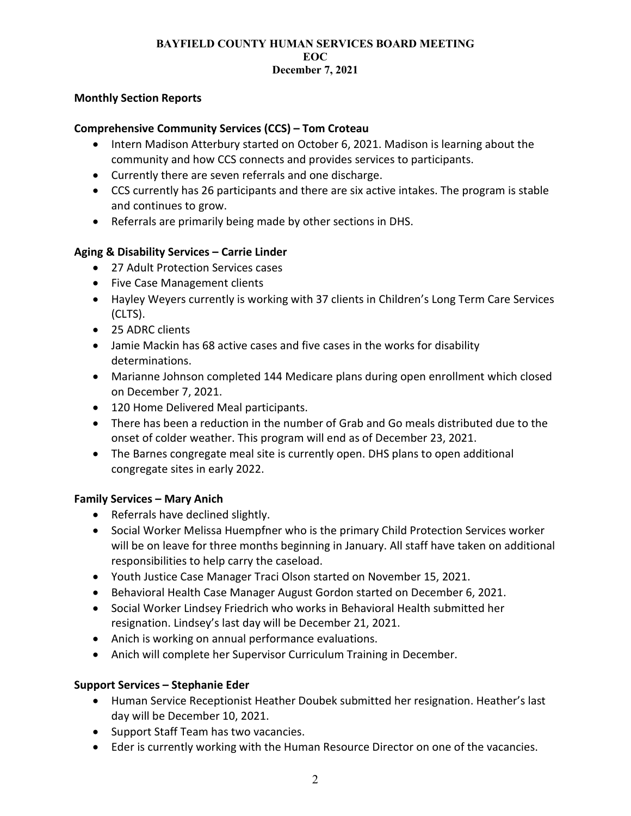### Monthly Section Reports

## Comprehensive Community Services (CCS) – Tom Croteau

- Intern Madison Atterbury started on October 6, 2021. Madison is learning about the community and how CCS connects and provides services to participants.
- Currently there are seven referrals and one discharge.
- CCS currently has 26 participants and there are six active intakes. The program is stable and continues to grow.
- Referrals are primarily being made by other sections in DHS.

## Aging & Disability Services – Carrie Linder

- 27 Adult Protection Services cases
- Five Case Management clients
- Hayley Weyers currently is working with 37 clients in Children's Long Term Care Services (CLTS).
- 25 ADRC clients
- Jamie Mackin has 68 active cases and five cases in the works for disability determinations.
- Marianne Johnson completed 144 Medicare plans during open enrollment which closed on December 7, 2021.
- 120 Home Delivered Meal participants.
- There has been a reduction in the number of Grab and Go meals distributed due to the onset of colder weather. This program will end as of December 23, 2021.
- The Barnes congregate meal site is currently open. DHS plans to open additional congregate sites in early 2022.

### Family Services – Mary Anich

- Referrals have declined slightly.
- Social Worker Melissa Huempfner who is the primary Child Protection Services worker will be on leave for three months beginning in January. All staff have taken on additional responsibilities to help carry the caseload.
- Youth Justice Case Manager Traci Olson started on November 15, 2021.
- **•** Behavioral Health Case Manager August Gordon started on December 6, 2021.
- Social Worker Lindsey Friedrich who works in Behavioral Health submitted her resignation. Lindsey's last day will be December 21, 2021.
- Anich is working on annual performance evaluations.
- Anich will complete her Supervisor Curriculum Training in December.

## Support Services – Stephanie Eder

- Human Service Receptionist Heather Doubek submitted her resignation. Heather's last day will be December 10, 2021.
- Support Staff Team has two vacancies.
- Eder is currently working with the Human Resource Director on one of the vacancies.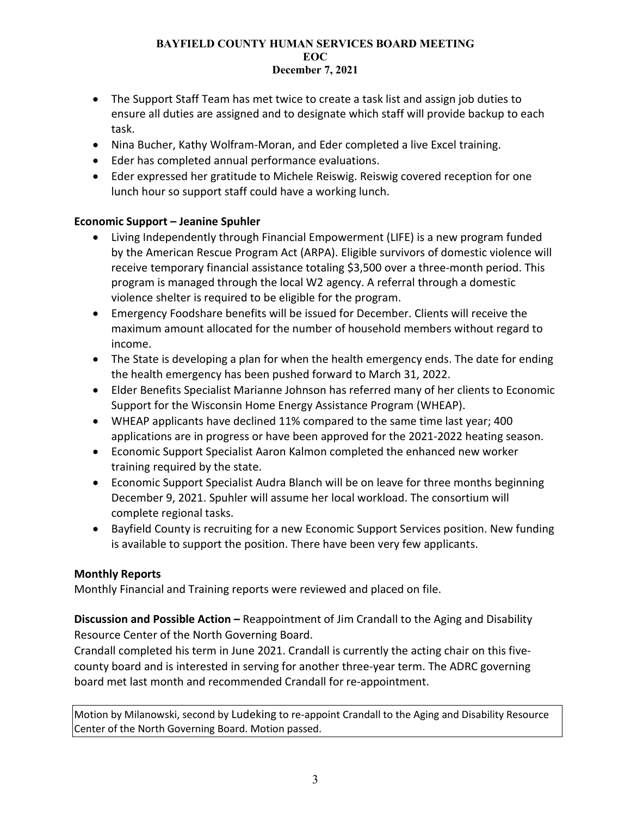- The Support Staff Team has met twice to create a task list and assign job duties to ensure all duties are assigned and to designate which staff will provide backup to each task.
- Nina Bucher, Kathy Wolfram-Moran, and Eder completed a live Excel training.
- Eder has completed annual performance evaluations.
- Eder expressed her gratitude to Michele Reiswig. Reiswig covered reception for one lunch hour so support staff could have a working lunch.

# Economic Support – Jeanine Spuhler

- Living Independently through Financial Empowerment (LIFE) is a new program funded by the American Rescue Program Act (ARPA). Eligible survivors of domestic violence will receive temporary financial assistance totaling \$3,500 over a three-month period. This program is managed through the local W2 agency. A referral through a domestic violence shelter is required to be eligible for the program.
- Emergency Foodshare benefits will be issued for December. Clients will receive the maximum amount allocated for the number of household members without regard to income.
- The State is developing a plan for when the health emergency ends. The date for ending the health emergency has been pushed forward to March 31, 2022.
- Elder Benefits Specialist Marianne Johnson has referred many of her clients to Economic Support for the Wisconsin Home Energy Assistance Program (WHEAP).
- WHEAP applicants have declined 11% compared to the same time last year; 400 applications are in progress or have been approved for the 2021-2022 heating season.
- Economic Support Specialist Aaron Kalmon completed the enhanced new worker training required by the state.
- Economic Support Specialist Audra Blanch will be on leave for three months beginning December 9, 2021. Spuhler will assume her local workload. The consortium will complete regional tasks.
- Bayfield County is recruiting for a new Economic Support Services position. New funding is available to support the position. There have been very few applicants.

## Monthly Reports

Monthly Financial and Training reports were reviewed and placed on file.

Discussion and Possible Action – Reappointment of Jim Crandall to the Aging and Disability Resource Center of the North Governing Board.

Crandall completed his term in June 2021. Crandall is currently the acting chair on this fivecounty board and is interested in serving for another three-year term. The ADRC governing board met last month and recommended Crandall for re-appointment.

Motion by Milanowski, second by Ludeking to re-appoint Crandall to the Aging and Disability Resource Center of the North Governing Board. Motion passed.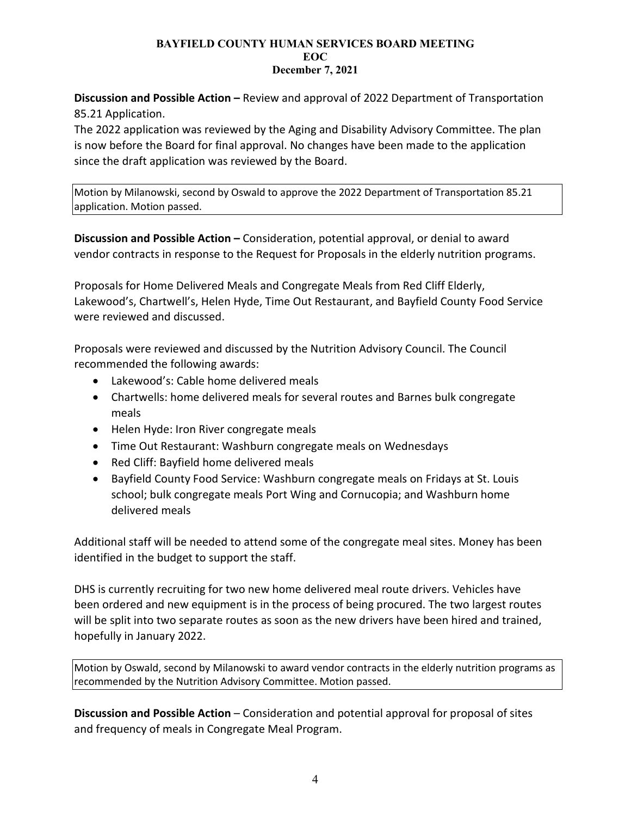Discussion and Possible Action – Review and approval of 2022 Department of Transportation 85.21 Application.

The 2022 application was reviewed by the Aging and Disability Advisory Committee. The plan is now before the Board for final approval. No changes have been made to the application since the draft application was reviewed by the Board.

Motion by Milanowski, second by Oswald to approve the 2022 Department of Transportation 85.21 application. Motion passed.

Discussion and Possible Action – Consideration, potential approval, or denial to award vendor contracts in response to the Request for Proposals in the elderly nutrition programs.

Proposals for Home Delivered Meals and Congregate Meals from Red Cliff Elderly, Lakewood's, Chartwell's, Helen Hyde, Time Out Restaurant, and Bayfield County Food Service were reviewed and discussed.

Proposals were reviewed and discussed by the Nutrition Advisory Council. The Council recommended the following awards:

- Lakewood's: Cable home delivered meals
- Chartwells: home delivered meals for several routes and Barnes bulk congregate meals
- Helen Hyde: Iron River congregate meals
- Time Out Restaurant: Washburn congregate meals on Wednesdays
- Red Cliff: Bayfield home delivered meals
- Bayfield County Food Service: Washburn congregate meals on Fridays at St. Louis school; bulk congregate meals Port Wing and Cornucopia; and Washburn home delivered meals

Additional staff will be needed to attend some of the congregate meal sites. Money has been identified in the budget to support the staff.

DHS is currently recruiting for two new home delivered meal route drivers. Vehicles have been ordered and new equipment is in the process of being procured. The two largest routes will be split into two separate routes as soon as the new drivers have been hired and trained, hopefully in January 2022.

Motion by Oswald, second by Milanowski to award vendor contracts in the elderly nutrition programs as recommended by the Nutrition Advisory Committee. Motion passed.

Discussion and Possible Action – Consideration and potential approval for proposal of sites and frequency of meals in Congregate Meal Program.